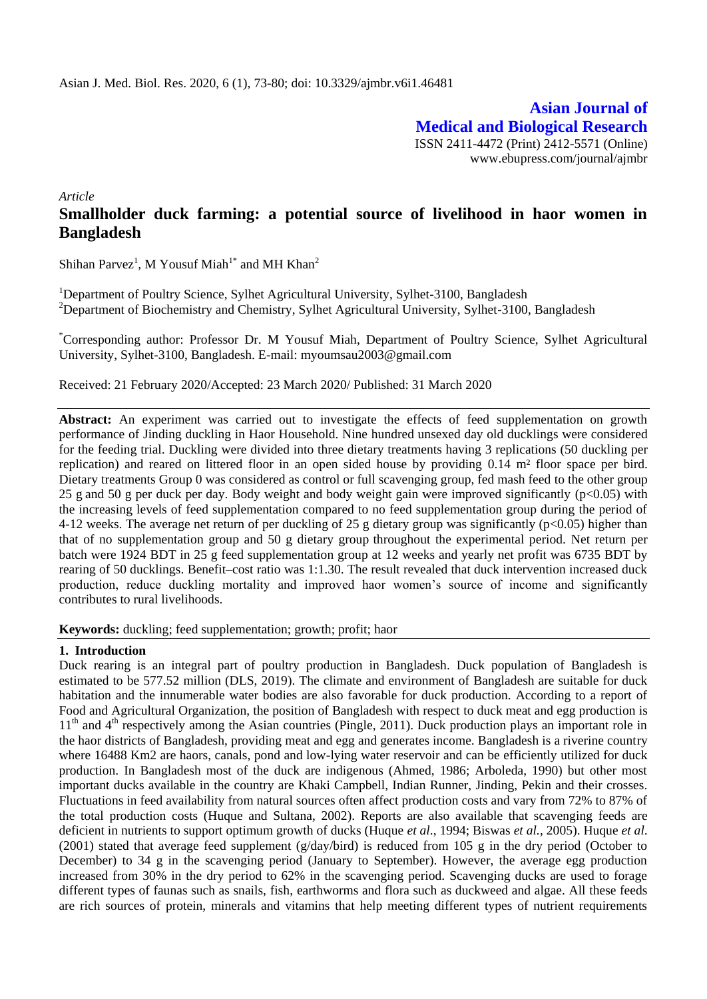**Asian Journal of Medical and Biological Research** ISSN 2411-4472 (Print) 2412-5571 (Online) www.ebupress.com/journal/ajmbr

*Article*

# **Smallholder duck farming: a potential source of livelihood in haor women in Bangladesh**

Shihan Parvez<sup>1</sup>, M Yousuf Miah<sup>1\*</sup> and MH Khan<sup>2</sup>

<sup>1</sup>Department of Poultry Science, Sylhet Agricultural University, Sylhet-3100, Bangladesh <sup>2</sup>Department of Biochemistry and Chemistry, Sylhet Agricultural University, Sylhet-3100, Bangladesh

\*Corresponding author: Professor Dr. M Yousuf Miah, Department of Poultry Science, Sylhet Agricultural University, Sylhet-3100, Bangladesh. E-mail: [myoumsau2003@gmail.com](mailto:myoumsau2003@gmail.com)

Received: 21 February 2020/Accepted: 23 March 2020/ Published: 31 March 2020

**Abstract:** An experiment was carried out to investigate the effects of feed supplementation on growth performance of Jinding duckling in Haor Household. Nine hundred unsexed day old ducklings were considered for the feeding trial. Duckling were divided into three dietary treatments having 3 replications (50 duckling per replication) and reared on littered floor in an open sided house by providing 0.14 m² floor space per bird. Dietary treatments Group 0 was considered as control or full scavenging group, fed mash feed to the other group 25 g and 50 g per duck per day. Body weight and body weight gain were improved significantly ( $p<0.05$ ) with the increasing levels of feed supplementation compared to no feed supplementation group during the period of 4-12 weeks. The average net return of per duckling of 25 g dietary group was significantly ( $p<0.05$ ) higher than that of no supplementation group and 50 g dietary group throughout the experimental period. Net return per batch were 1924 BDT in 25 g feed supplementation group at 12 weeks and yearly net profit was 6735 BDT by rearing of 50 ducklings. Benefit–cost ratio was 1:1.30. The result revealed that duck intervention increased duck production, reduce duckling mortality and improved haor women's source of income and significantly contributes to rural livelihoods.

**Keywords:** duckling; feed supplementation; growth; profit; haor

# **1. Introduction**

Duck rearing is an integral part of poultry production in Bangladesh. Duck population of Bangladesh is estimated to be 577.52 million (DLS, 2019). The climate and environment of Bangladesh are suitable for duck habitation and the innumerable water bodies are also favorable for duck production. According to a report of Food and Agricultural Organization, the position of Bangladesh with respect to duck meat and egg production is 11<sup>th</sup> and 4<sup>th</sup> respectively among the Asian countries (Pingle, 2011). Duck production plays an important role in the haor districts of Bangladesh, providing meat and egg and generates income. Bangladesh is a riverine country where 16488 Km2 are haors, canals, pond and low-lying water reservoir and can be efficiently utilized for duck production. In Bangladesh most of the duck are indigenous (Ahmed, 1986; Arboleda, 1990) but other most important ducks available in the country are Khaki Campbell, Indian Runner, Jinding, Pekin and their crosses. Fluctuations in feed availability from natural sources often affect production costs and vary from 72% to 87% of the total production costs (Huque and Sultana, 2002). Reports are also available that scavenging feeds are deficient in nutrients to support optimum growth of ducks (Huque *et al*., 1994; Biswas *et al.,* 2005). Huque *et al*. (2001) stated that average feed supplement (g/day/bird) is reduced from 105 g in the dry period (October to December) to 34 g in the scavenging period (January to September). However, the average egg production increased from 30% in the dry period to 62% in the scavenging period. Scavenging ducks are used to forage different types of faunas such as snails, fish, earthworms and flora such as duckweed and algae. All these feeds are rich sources of protein, minerals and vitamins that help meeting different types of nutrient requirements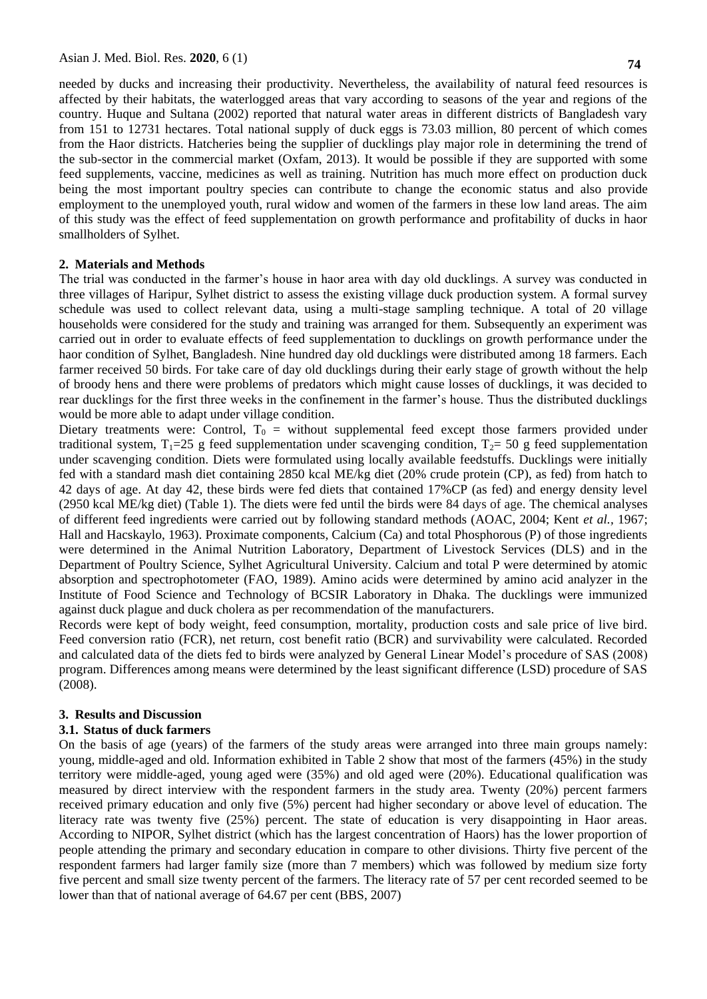needed by ducks and increasing their productivity. Nevertheless, the availability of natural feed resources is affected by their habitats, the waterlogged areas that vary according to seasons of the year and regions of the country. Huque and Sultana (2002) reported that natural water areas in different districts of Bangladesh vary from 151 to 12731 hectares. Total national supply of duck eggs is 73.03 million, 80 percent of which comes from the Haor districts. Hatcheries being the supplier of ducklings play major role in determining the trend of the sub-sector in the commercial market (Oxfam, 2013). It would be possible if they are supported with some feed supplements, vaccine, medicines as well as training. Nutrition has much more effect on production duck being the most important poultry species can contribute to change the economic status and also provide employment to the unemployed youth, rural widow and women of the farmers in these low land areas. The aim of this study was the effect of feed supplementation on growth performance and profitability of ducks in haor smallholders of Sylhet.

#### **2. Materials and Methods**

The trial was conducted in the farmer's house in haor area with day old ducklings. A survey was conducted in three villages of Haripur, Sylhet district to assess the existing village duck production system. A formal survey schedule was used to collect relevant data, using a multi-stage sampling technique. A total of 20 village households were considered for the study and training was arranged for them. Subsequently an experiment was carried out in order to evaluate effects of feed supplementation to ducklings on growth performance under the haor condition of Sylhet, Bangladesh. Nine hundred day old ducklings were distributed among 18 farmers. Each farmer received 50 birds. For take care of day old ducklings during their early stage of growth without the help of broody hens and there were problems of predators which might cause losses of ducklings, it was decided to rear ducklings for the first three weeks in the confinement in the farmer's house. Thus the distributed ducklings would be more able to adapt under village condition.

Dietary treatments were: Control,  $T_0$  = without supplemental feed except those farmers provided under traditional system,  $T_1=25$  g feed supplementation under scavenging condition,  $T_2=50$  g feed supplementation under scavenging condition. Diets were formulated using locally available feedstuffs. Ducklings were initially fed with a standard mash diet containing 2850 kcal ME/kg diet (20% crude protein (CP), as fed) from hatch to 42 days of age. At day 42, these birds were fed diets that contained 17%CP (as fed) and energy density level (2950 kcal ME/kg diet) (Table 1). The diets were fed until the birds were 84 days of age. The chemical analyses of different feed ingredients were carried out by following standard methods (AOAC, 2004; Kent *et al.,* 1967; Hall and Hacskaylo, 1963). Proximate components, Calcium (Ca) and total Phosphorous (P) of those ingredients were determined in the Animal Nutrition Laboratory, Department of Livestock Services (DLS) and in the Department of Poultry Science, Sylhet Agricultural University. Calcium and total P were determined by atomic absorption and spectrophotometer (FAO, 1989). Amino acids were determined by amino acid analyzer in the Institute of Food Science and Technology of BCSIR Laboratory in Dhaka. The ducklings were immunized against duck plague and duck cholera as per recommendation of the manufacturers.

Records were kept of body weight, feed consumption, mortality, production costs and sale price of live bird. Feed conversion ratio (FCR), net return, cost benefit ratio (BCR) and survivability were calculated. Recorded and calculated data of the diets fed to birds were analyzed by General Linear Model's procedure of SAS (2008) program. Differences among means were determined by the least significant difference (LSD) procedure of SAS (2008).

## **3. Results and Discussion**

#### **3.1. Status of duck farmers**

On the basis of age (years) of the farmers of the study areas were arranged into three main groups namely: young, middle-aged and old. Information exhibited in Table 2 show that most of the farmers (45%) in the study territory were middle-aged, young aged were (35%) and old aged were (20%). Educational qualification was measured by direct interview with the respondent farmers in the study area. Twenty (20%) percent farmers received primary education and only five (5%) percent had higher secondary or above level of education. The literacy rate was twenty five (25%) percent. The state of education is very disappointing in Haor areas. According to NIPOR, Sylhet district (which has the largest concentration of Haors) has the lower proportion of people attending the primary and secondary education in compare to other divisions. Thirty five percent of the respondent farmers had larger family size (more than 7 members) which was followed by medium size forty five percent and small size twenty percent of the farmers. The literacy rate of 57 per cent recorded seemed to be lower than that of national average of 64.67 per cent (BBS, 2007)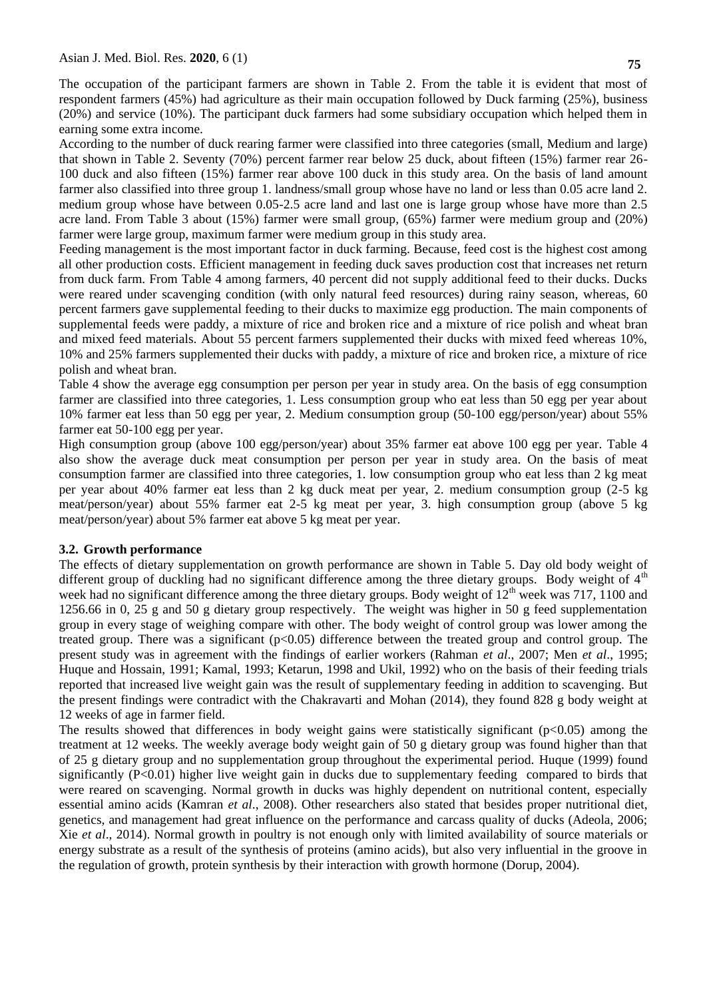The occupation of the participant farmers are shown in Table 2. From the table it is evident that most of respondent farmers (45%) had agriculture as their main occupation followed by Duck farming (25%), business (20%) and service (10%). The participant duck farmers had some subsidiary occupation which helped them in earning some extra income.

According to the number of duck rearing farmer were classified into three categories (small, Medium and large) that shown in Table 2. Seventy (70%) percent farmer rear below 25 duck, about fifteen (15%) farmer rear 26- 100 duck and also fifteen (15%) farmer rear above 100 duck in this study area. On the basis of land amount farmer also classified into three group 1. landness/small group whose have no land or less than 0.05 acre land 2. medium group whose have between 0.05-2.5 acre land and last one is large group whose have more than 2.5 acre land. From Table 3 about (15%) farmer were small group, (65%) farmer were medium group and (20%) farmer were large group, maximum farmer were medium group in this study area.

Feeding management is the most important factor in duck farming. Because, feed cost is the highest cost among all other production costs. Efficient management in feeding duck saves production cost that increases net return from duck farm. From Table 4 among farmers, 40 percent did not supply additional feed to their ducks. Ducks were reared under scavenging condition (with only natural feed resources) during rainy season, whereas, 60 percent farmers gave supplemental feeding to their ducks to maximize egg production. The main components of supplemental feeds were paddy, a mixture of rice and broken rice and a mixture of rice polish and wheat bran and mixed feed materials. About 55 percent farmers supplemented their ducks with mixed feed whereas 10%, 10% and 25% farmers supplemented their ducks with paddy, a mixture of rice and broken rice, a mixture of rice polish and wheat bran.

Table 4 show the average egg consumption per person per year in study area. On the basis of egg consumption farmer are classified into three categories, 1. Less consumption group who eat less than 50 egg per year about 10% farmer eat less than 50 egg per year, 2. Medium consumption group (50-100 egg/person/year) about 55% farmer eat 50-100 egg per year.

High consumption group (above 100 egg/person/year) about 35% farmer eat above 100 egg per year. Table 4 also show the average duck meat consumption per person per year in study area. On the basis of meat consumption farmer are classified into three categories, 1. low consumption group who eat less than 2 kg meat per year about 40% farmer eat less than 2 kg duck meat per year, 2. medium consumption group (2-5 kg meat/person/year) about 55% farmer eat 2-5 kg meat per year, 3. high consumption group (above 5 kg meat/person/year) about 5% farmer eat above 5 kg meat per year.

### **3.2. Growth performance**

The effects of dietary supplementation on growth performance are shown in Table 5. Day old body weight of different group of duckling had no significant difference among the three dietary groups. Body weight of  $4<sup>th</sup>$ week had no significant difference among the three dietary groups. Body weight of  $12<sup>th</sup>$  week was 717, 1100 and 1256.66 in 0, 25 g and 50 g dietary group respectively. The weight was higher in 50 g feed supplementation group in every stage of weighing compare with other. The body weight of control group was lower among the treated group. There was a significant (p<0.05) difference between the treated group and control group. The present study was in agreement with the findings of earlier workers (Rahman *et al*., 2007; Men *et al*., 1995; Huque and Hossain, 1991; Kamal, 1993; Ketarun, 1998 and Ukil, 1992) who on the basis of their feeding trials reported that increased live weight gain was the result of supplementary feeding in addition to scavenging. But the present findings were contradict with the Chakravarti and Mohan (2014), they found 828 g body weight at 12 weeks of age in farmer field.

The results showed that differences in body weight gains were statistically significant  $(p<0.05)$  among the treatment at 12 weeks. The weekly average body weight gain of 50 g dietary group was found higher than that of 25 g dietary group and no supplementation group throughout the experimental period. Huque (1999) found significantly (P<0.01) higher live weight gain in ducks due to supplementary feeding compared to birds that were reared on scavenging. Normal growth in ducks was highly dependent on nutritional content, especially essential amino acids (Kamran *et al*., 2008). Other researchers also stated that besides proper nutritional diet, genetics, and management had great influence on the performance and carcass quality of ducks (Adeola, 2006; Xie *et al*., 2014). Normal growth in poultry is not enough only with limited availability of source materials or energy substrate as a result of the synthesis of proteins (amino acids), but also very influential in the groove in the regulation of growth, protein synthesis by their interaction with growth hormone (Dorup, 2004).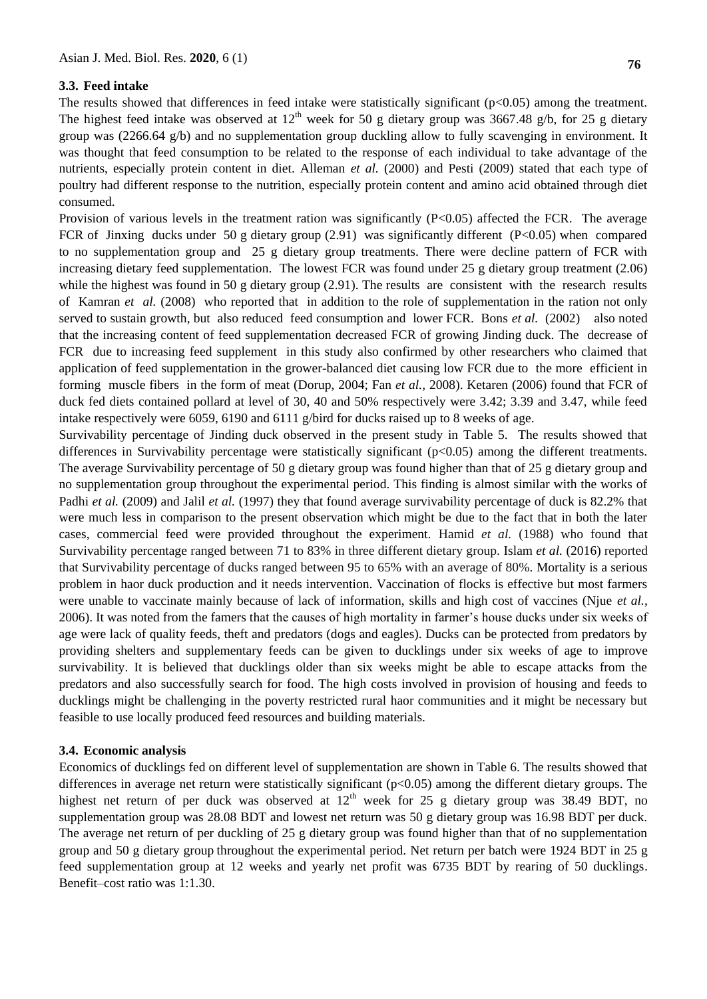### **3.3. Feed intake**

The results showed that differences in feed intake were statistically significant ( $p<0.05$ ) among the treatment. The highest feed intake was observed at  $12<sup>th</sup>$  week for 50 g dietary group was 3667.48 g/b, for 25 g dietary group was (2266.64 g/b) and no supplementation group duckling allow to fully scavenging in environment. It was thought that feed consumption to be related to the response of each individual to take advantage of the nutrients, especially protein content in diet. Alleman *et al.* (2000) and Pesti (2009) stated that each type of poultry had different response to the nutrition, especially protein content and amino acid obtained through diet consumed.

Provision of various levels in the treatment ration was significantly (P<0.05) affected the FCR. The average FCR of Jinxing ducks under 50 g dietary group (2.91) was significantly different (P<0.05) when compared to no supplementation group and 25 g dietary group treatments. There were decline pattern of FCR with increasing dietary feed supplementation. The lowest FCR was found under 25 g dietary group treatment (2.06) while the highest was found in 50 g dietary group (2.91). The results are consistent with the research results of Kamran *et al.* (2008) who reported that in addition to the role of supplementation in the ration not only served to sustain growth, but also reduced feed consumption and lower FCR. Bons *et al.* (2002) also noted that the increasing content of feed supplementation decreased FCR of growing Jinding duck. The decrease of FCR due to increasing feed supplement in this study also confirmed by other researchers who claimed that application of feed supplementation in the grower-balanced diet causing low FCR due to the more efficient in forming muscle fibers in the form of meat (Dorup, 2004; Fan *et al.,* 2008). Ketaren (2006) found that FCR of duck fed diets contained pollard at level of 30, 40 and 50% respectively were 3.42; 3.39 and 3.47, while feed intake respectively were 6059, 6190 and 6111 g/bird for ducks raised up to 8 weeks of age.

Survivability percentage of Jinding duck observed in the present study in Table 5. The results showed that differences in Survivability percentage were statistically significant (p<0.05) among the different treatments. The average Survivability percentage of 50 g dietary group was found higher than that of 25 g dietary group and no supplementation group throughout the experimental period. This finding is almost similar with the works of Padhi *et al.* (2009) and Jalil *et al.* (1997) they that found average survivability percentage of duck is 82.2% that were much less in comparison to the present observation which might be due to the fact that in both the later cases, commercial feed were provided throughout the experiment. Hamid *et al.* (1988) who found that Survivability percentage ranged between 71 to 83% in three different dietary group. Islam *et al.* (2016) reported that Survivability percentage of ducks ranged between 95 to 65% with an average of 80%. Mortality is a serious problem in haor duck production and it needs intervention. Vaccination of flocks is effective but most farmers were unable to vaccinate mainly because of lack of information, skills and high cost of vaccines (Njue *et al.*, 2006). It was noted from the famers that the causes of high mortality in farmer's house ducks under six weeks of age were lack of quality feeds, theft and predators (dogs and eagles). Ducks can be protected from predators by providing shelters and supplementary feeds can be given to ducklings under six weeks of age to improve survivability. It is believed that ducklings older than six weeks might be able to escape attacks from the predators and also successfully search for food. The high costs involved in provision of housing and feeds to ducklings might be challenging in the poverty restricted rural haor communities and it might be necessary but feasible to use locally produced feed resources and building materials.

#### **3.4. Economic analysis**

Economics of ducklings fed on different level of supplementation are shown in Table 6. The results showed that differences in average net return were statistically significant (p<0.05) among the different dietary groups. The highest net return of per duck was observed at  $12<sup>th</sup>$  week for 25 g dietary group was 38.49 BDT, no supplementation group was 28.08 BDT and lowest net return was 50 g dietary group was 16.98 BDT per duck. The average net return of per duckling of 25 g dietary group was found higher than that of no supplementation group and 50 g dietary group throughout the experimental period. Net return per batch were 1924 BDT in 25 g feed supplementation group at 12 weeks and yearly net profit was 6735 BDT by rearing of 50 ducklings. Benefit–cost ratio was 1:1.30.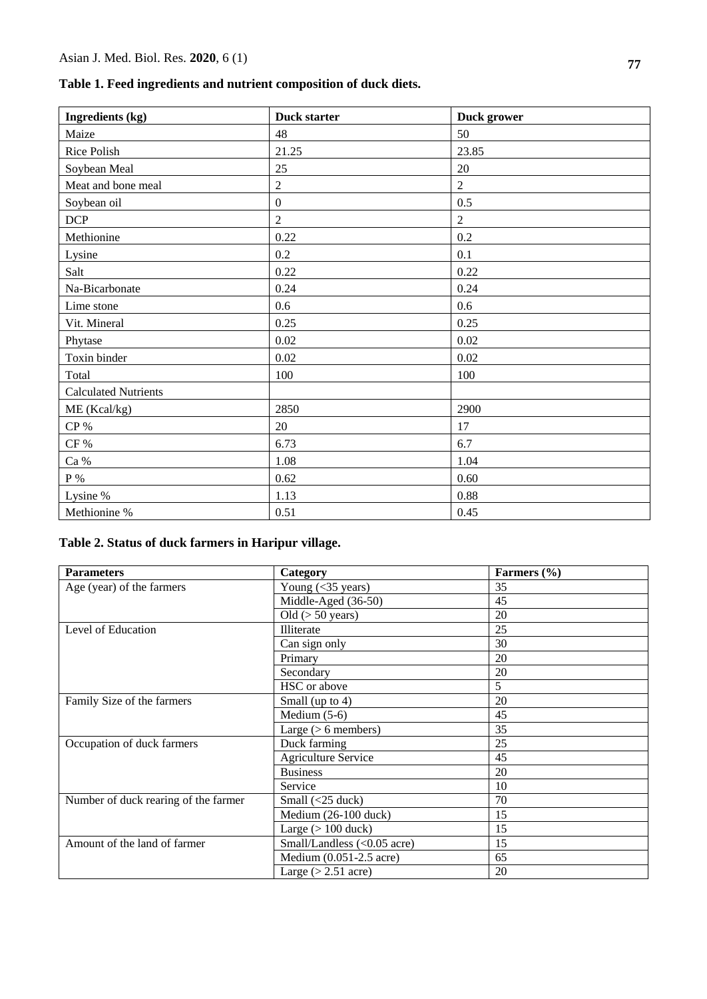# **Table 1. Feed ingredients and nutrient composition of duck diets.**

| <b>Ingredients</b> (kg)     | <b>Duck starter</b> | Duck grower    |
|-----------------------------|---------------------|----------------|
| Maize                       | 48                  | 50             |
| Rice Polish                 | 21.25               | 23.85          |
| Soybean Meal                | 25                  | 20             |
| Meat and bone meal          | $\overline{2}$      | $\overline{2}$ |
| Soybean oil                 | $\boldsymbol{0}$    | 0.5            |
| DCP                         | $\overline{2}$      | $\overline{2}$ |
| Methionine                  | 0.22                | 0.2            |
| Lysine                      | 0.2                 | 0.1            |
| Salt                        | 0.22                | 0.22           |
| Na-Bicarbonate              | 0.24                | 0.24           |
| Lime stone                  | 0.6                 | 0.6            |
| Vit. Mineral                | 0.25                | 0.25           |
| Phytase                     | 0.02                | 0.02           |
| Toxin binder                | 0.02                | 0.02           |
| Total                       | 100                 | 100            |
| <b>Calculated Nutrients</b> |                     |                |
| ME (Kcal/kg)                | 2850                | 2900           |
| $\cal CP$ %                 | 20                  | 17             |
| CF %                        | 6.73                | 6.7            |
| Ca %                        | 1.08                | 1.04           |
| $\, {\bf P}$ %              | 0.62                | 0.60           |
| Lysine %                    | 1.13                | 0.88           |
| Methionine %                | 0.51                | 0.45           |

# **Table 2. Status of duck farmers in Haripur village.**

| <b>Parameters</b>                    | Category                    | Farmers (%) |  |
|--------------------------------------|-----------------------------|-------------|--|
| Age (year) of the farmers            | Young $(<$ 35 years)        | 35          |  |
|                                      | Middle-Aged (36-50)         | 45          |  |
|                                      | Old $($ > 50 years)         | 20          |  |
| Level of Education                   | Illiterate                  | 25          |  |
|                                      | Can sign only               | 30          |  |
|                                      | Primary                     | 20          |  |
|                                      | Secondary                   | 20          |  |
|                                      | HSC or above                | 5           |  |
| Family Size of the farmers           | Small (up to 4)             | 20          |  |
|                                      | Medium $(5-6)$              | 45          |  |
|                                      | Large $(> 6$ members)       | 35          |  |
| Occupation of duck farmers           | Duck farming                | 25          |  |
|                                      | <b>Agriculture Service</b>  | 45          |  |
|                                      | <b>Business</b>             | 20          |  |
|                                      | Service                     | 10          |  |
| Number of duck rearing of the farmer | Small $(<25$ duck)          | 70          |  |
|                                      | Medium (26-100 duck)        | 15          |  |
|                                      | Large $(>100$ duck)         | 15          |  |
| Amount of the land of farmer         | Small/Landless (<0.05 acre) | 15          |  |
|                                      | Medium (0.051-2.5 acre)     | 65          |  |
|                                      | Large $(>2.51$ acre)        | 20          |  |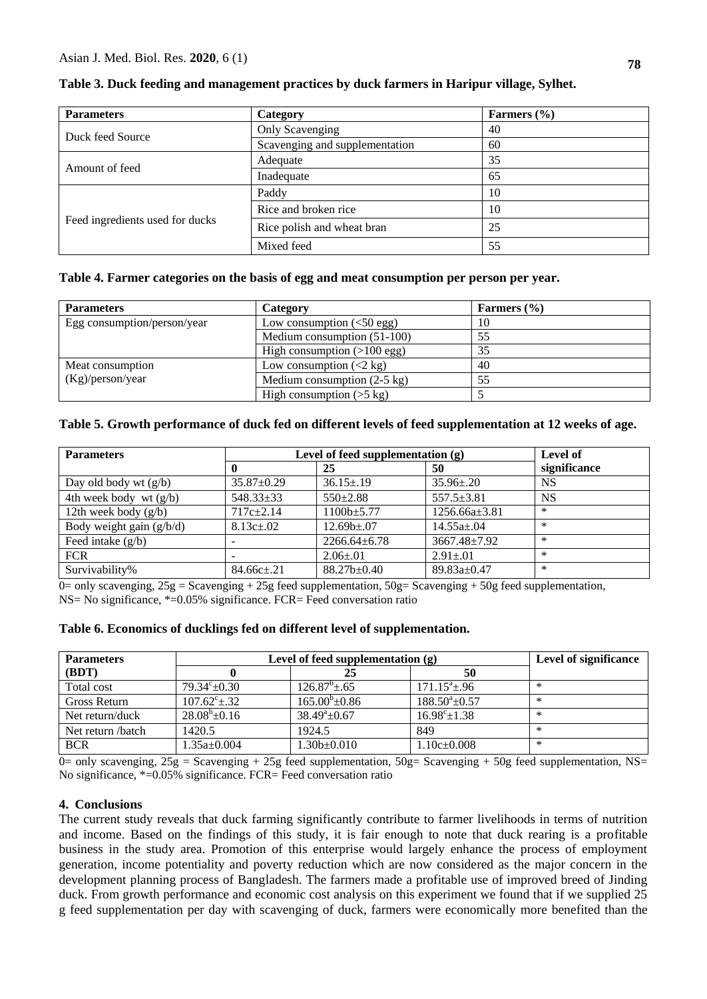| <b>Parameters</b>               | Category                       | Farmers $(\% )$ |
|---------------------------------|--------------------------------|-----------------|
| Duck feed Source                | Only Scavenging                | 40              |
|                                 | Scavenging and supplementation | 60              |
| Amount of feed                  | Adequate                       | 35              |
|                                 | Inadequate                     | 65              |
| Feed ingredients used for ducks | Paddy                          | 10              |
|                                 | Rice and broken rice           | 10              |
|                                 | Rice polish and wheat bran     | 25              |
|                                 | Mixed feed                     | 55              |

**Table 3. Duck feeding and management practices by duck farmers in Haripur village, Sylhet.**

# **Table 4. Farmer categories on the basis of egg and meat consumption per person per year.**

| <b>Parameters</b>           | Category                              | Farmers $(\% )$ |
|-----------------------------|---------------------------------------|-----------------|
| Egg consumption/person/year | Low consumption $(<50 \text{ egg})$   | 10              |
|                             | Medium consumption $(51-100)$         | 55              |
|                             | High consumption $(>100 \text{ egg})$ | 35              |
| Meat consumption            | Low consumption $(< 2 \text{ kg})$    | 40              |
| (Kg)/person/year            | Medium consumption $(2-5 \text{ kg})$ | 55              |
|                             | High consumption $(5 \text{ kg})$     |                 |

## **Table 5. Growth performance of duck fed on different levels of feed supplementation at 12 weeks of age.**

| <b>Parameters</b>          | Level of feed supplementation $(g)$ |                    | Level of            |              |
|----------------------------|-------------------------------------|--------------------|---------------------|--------------|
|                            |                                     | 25                 | 50                  | significance |
| Day old body wt $(g/b)$    | $35.87 \pm 0.29$                    | $36.15 \pm 0.19$   | $35.96 \pm 0.20$    | <b>NS</b>    |
| 4th week body wt $(g/b)$   | $548.33 \pm 33$                     | $550 \pm 2.88$     | $557.5 \pm 3.81$    | <b>NS</b>    |
| 12th week body $(g/b)$     | $717c+2.14$                         | $1100b \pm 5.77$   | $1256.66a \pm 3.81$ | ∗            |
| Body weight gain $(g/b/d)$ | $8.13c \pm .02$                     | $12.69b \pm .07$   | $14.55a \pm 0.04$   | $\ast$       |
| Feed intake $(g/b)$        |                                     | $2266.64 \pm 6.78$ | 3667.48±7.92        | $\ast$       |
| <b>FCR</b>                 |                                     | $2.06 \pm 0.01$    | $2.91 \pm .01$      | $\ast$       |
| Survivability%             | $84.66c \pm 0.21$                   | $88.27b \pm 0.40$  | $89.83a \pm 0.47$   | $\ast$       |

0= only scavenging,  $25g =$  Scavenging +  $25g$  feed supplementation,  $50g =$  Scavenging +  $50g$  feed supplementation, NS= No significance, \*=0.05% significance. FCR= Feed conversation ratio

# **Table 6. Economics of ducklings fed on different level of supplementation.**

| <b>Parameters</b> | Level of feed supplementation $(g)$ |                        |                       | Level of significance |
|-------------------|-------------------------------------|------------------------|-----------------------|-----------------------|
| (BDT)             |                                     | 25                     | 50                    |                       |
| Total cost        | $79.34^{\circ} \pm 0.30$            | $126.87^{\circ}$ ± .65 | $171.15^a \pm .96$    | $\ast$                |
| Gross Return      | $107.62^{\circ}$ $\pm$ 32           | $165.00^{\circ}$ ±0.86 | $188.50^a \pm 0.57$   | $\ast$                |
| Net return/duck   | $28.08^b \pm 0.16$                  | $38.49^{\circ}$ + 0.67 | $16.98^{\circ}$ ±1.38 | $\ast$                |
| Net return /batch | 1420.5                              | 1924.5                 | 849                   | $\ast$                |
| <b>BCR</b>        | $1.35a \pm 0.004$                   | $1.30b + 0.010$        | $1.10c \pm 0.008$     | $\ast$                |

 $\overline{0}$ = only scavenging, 25g = Scavenging + 25g feed supplementation, 50g= Scavenging + 50g feed supplementation, NS= No significance, \*=0.05% significance. FCR= Feed conversation ratio

## **4. Conclusions**

The current study reveals that duck farming significantly contribute to farmer livelihoods in terms of nutrition and income. Based on the findings of this study, it is fair enough to note that duck rearing is a profitable business in the study area. Promotion of this enterprise would largely enhance the process of employment generation, income potentiality and poverty reduction which are now considered as the major concern in the development planning process of Bangladesh. The farmers made a profitable use of improved breed of Jinding duck. From growth performance and economic cost analysis on this experiment we found that if we supplied 25 g feed supplementation per day with scavenging of duck, farmers were economically more benefited than the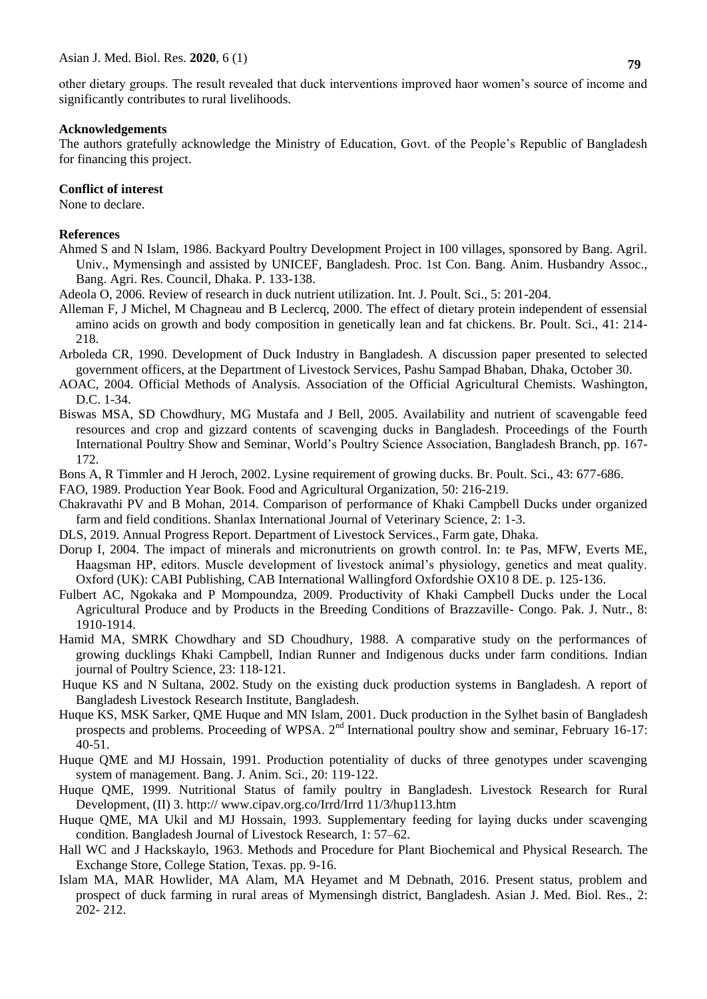other dietary groups. The result revealed that duck interventions improved haor women's source of income and significantly contributes to rural livelihoods.

### **Acknowledgements**

The authors gratefully acknowledge the Ministry of Education, Govt. of the People's Republic of Bangladesh for financing this project.

## **Conflict of interest**

None to declare.

## **References**

- Ahmed S and N Islam, 1986. Backyard Poultry Development Project in 100 villages, sponsored by Bang. Agril. Univ., Mymensingh and assisted by UNICEF, Bangladesh. Proc. 1st Con. Bang. Anim. Husbandry Assoc., Bang. Agri. Res. Council, Dhaka. P. 133-138.
- Adeola O, 2006. Review of research in duck nutrient utilization. Int. J. Poult. Sci., 5: 201-204.
- Alleman F, J Michel, M Chagneau and B Leclercq, 2000. The effect of dietary protein independent of essensial amino acids on growth and body composition in genetically lean and fat chickens. Br. Poult. Sci., 41: 214- 218.
- Arboleda CR, 1990. Development of Duck Industry in Bangladesh. A discussion paper presented to selected government officers, at the Department of Livestock Services, Pashu Sampad Bhaban, Dhaka, October 30.
- AOAC, 2004. Official Methods of Analysis. Association of the Official Agricultural Chemists. Washington, D.C. 1-34.
- Biswas MSA, SD Chowdhury, MG Mustafa and J Bell, 2005. Availability and nutrient of scavengable feed resources and crop and gizzard contents of scavenging ducks in Bangladesh. Proceedings of the Fourth International Poultry Show and Seminar, World's Poultry Science Association, Bangladesh Branch, pp. 167- 172.
- Bons A, R Timmler and H Jeroch, 2002. Lysine requirement of growing ducks. Br. Poult. Sci., 43: 677-686.
- FAO, 1989. Production Year Book*.* Food and Agricultural Organization, 50: 216-219.
- Chakravathi PV and B Mohan, 2014. Comparison of performance of Khaki Campbell Ducks under organized farm and field conditions. Shanlax International Journal of Veterinary Science, 2: 1-3.
- DLS, 2019. Annual Progress Report. Department of Livestock Services., Farm gate, Dhaka.
- Dorup I, 2004. The impact of minerals and micronutrients on growth control. In: te Pas, MFW, Everts ME, Haagsman HP, editors. Muscle development of livestock animal's physiology, genetics and meat quality. Oxford (UK): CABI Publishing, CAB International Wallingford Oxfordshie OX10 8 DE. p. 125-136.
- Fulbert AC, Ngokaka and P Mompoundza, 2009. Productivity of Khaki Campbell Ducks under the Local Agricultural Produce and by Products in the Breeding Conditions of Brazzaville- Congo. Pak. J. Nutr., 8: 1910-1914.
- Hamid MA, SMRK Chowdhary and SD Choudhury, 1988. A comparative study on the performances of growing ducklings Khaki Campbell, Indian Runner and Indigenous ducks under farm conditions. Indian journal of Poultry Science, 23: 118-121.
- Huque KS and N Sultana, 2002. Study on the existing duck production systems in Bangladesh. A report of Bangladesh Livestock Research Institute, Bangladesh.
- Huque KS, MSK Sarker, QME Huque and MN Islam, 2001. Duck production in the Sylhet basin of Bangladesh prospects and problems. Proceeding of WPSA. 2<sup>nd</sup> International poultry show and seminar, February 16-17: 40-51.
- Huque QME and MJ Hossain, 1991. Production potentiality of ducks of three genotypes under scavenging system of management. Bang. J. Anim. Sci., 20: 119-122.
- Huque QME, 1999. Nutritional Status of family poultry in Bangladesh. Livestock Research for Rural Development*,* (II) 3. http:// [www.cipav.org.co/Irrd/Irrd 11/3/hup113.htm](http://www.cipav.org.co/Irrd/Irrd%2011/3/hup113.htm)
- Huque QME, MA Ukil and MJ Hossain, 1993. Supplementary feeding for laying ducks under scavenging condition. Bangladesh Journal of Livestock Research, 1: 57–62.
- Hall WC and J Hackskaylo, 1963. Methods and Procedure for Plant Biochemical and Physical Research*.* The Exchange Store, College Station, Texas. pp. 9-16.
- Islam MA, MAR Howlider, MA Alam, MA Heyamet and M Debnath, 2016. Present status, problem and prospect of duck farming in rural areas of Mymensingh district, Bangladesh. Asian J. Med. Biol. Res., 2: 202- 212.